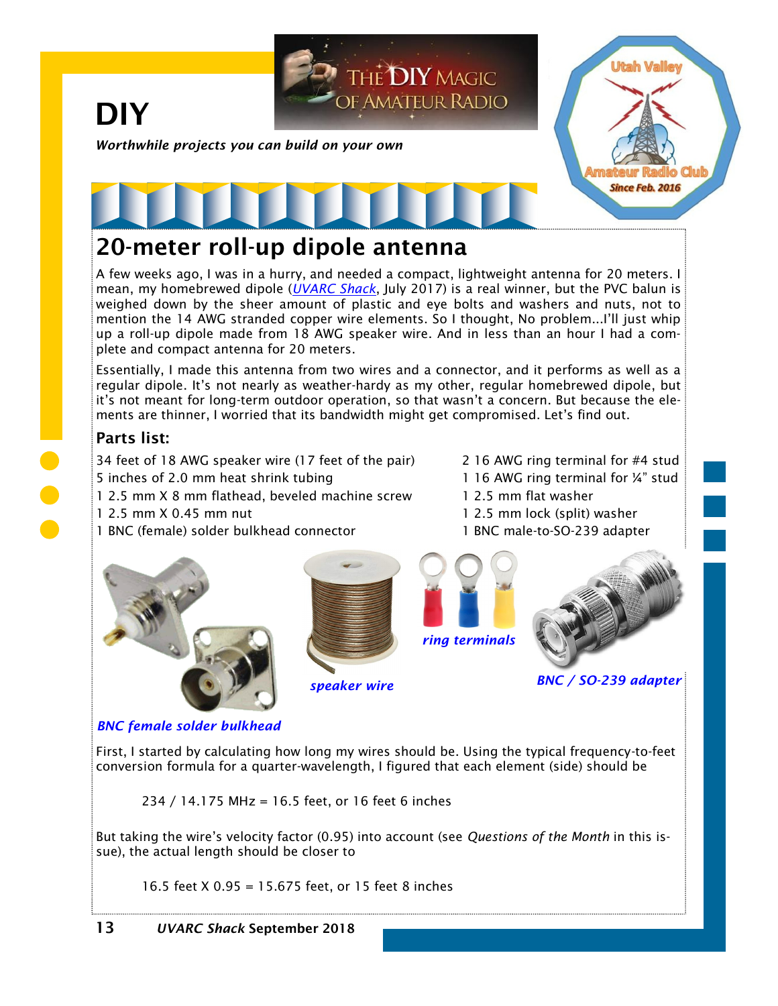

## **20-meter roll-up dipole antenna**

A few weeks ago, I was in a hurry, and needed a compact, lightweight antenna for 20 meters. I mean, my homebrewed dipole (*[UVARC Shack](https://noji.com/hamradio/uvarc/shack/UVARC-Shack-1707.pdf)*, July 2017) is a real winner, but the PVC balun is weighed down by the sheer amount of plastic and eye bolts and washers and nuts, not to mention the 14 AWG stranded copper wire elements. So I thought, No problem...I'll just whip up a roll-up dipole made from 18 AWG speaker wire. And in less than an hour I had a complete and compact antenna for 20 meters.

Essentially, I made this antenna from two wires and a connector, and it performs as well as a regular dipole. It's not nearly as weather-hardy as my other, regular homebrewed dipole, but it's not meant for long-term outdoor operation, so that wasn't a concern. But because the elements are thinner, I worried that its bandwidth might get compromised. Let's find out.

### **Parts list:**

34 feet of 18 AWG speaker wire (17 feet of the pair) 2 16 AWG ring terminal for #4 stud 5 inches of 2.0 mm heat shrink tubing 1 16 AWG ring terminal for ¼" stud

- 1 2.5 mm X 8 mm flathead, beveled machine screw 1 2.5 mm flat washer
- 
- 1 BNC (female) solder bulkhead connector 1 BNC male-to-SO-239 adapter
	-



- 
- 1 2.5 mm X 0.45 mm nut 1 2.5 mm lock (split) washer
	-





*BNC / SO-239 adapter speaker wire*

#### *BNC female solder bulkhead*

First, I started by calculating how long my wires should be. Using the typical frequency-to-feet conversion formula for a quarter-wavelength, I figured that each element (side) should be

234 / 14.175 MHz = 16.5 feet, or 16 feet 6 inches

But taking the wire's velocity factor (0.95) into account (see *Questions of the Month* in this issue), the actual length should be closer to

16.5 feet X 0.95 = 15.675 feet, or 15 feet 8 inches